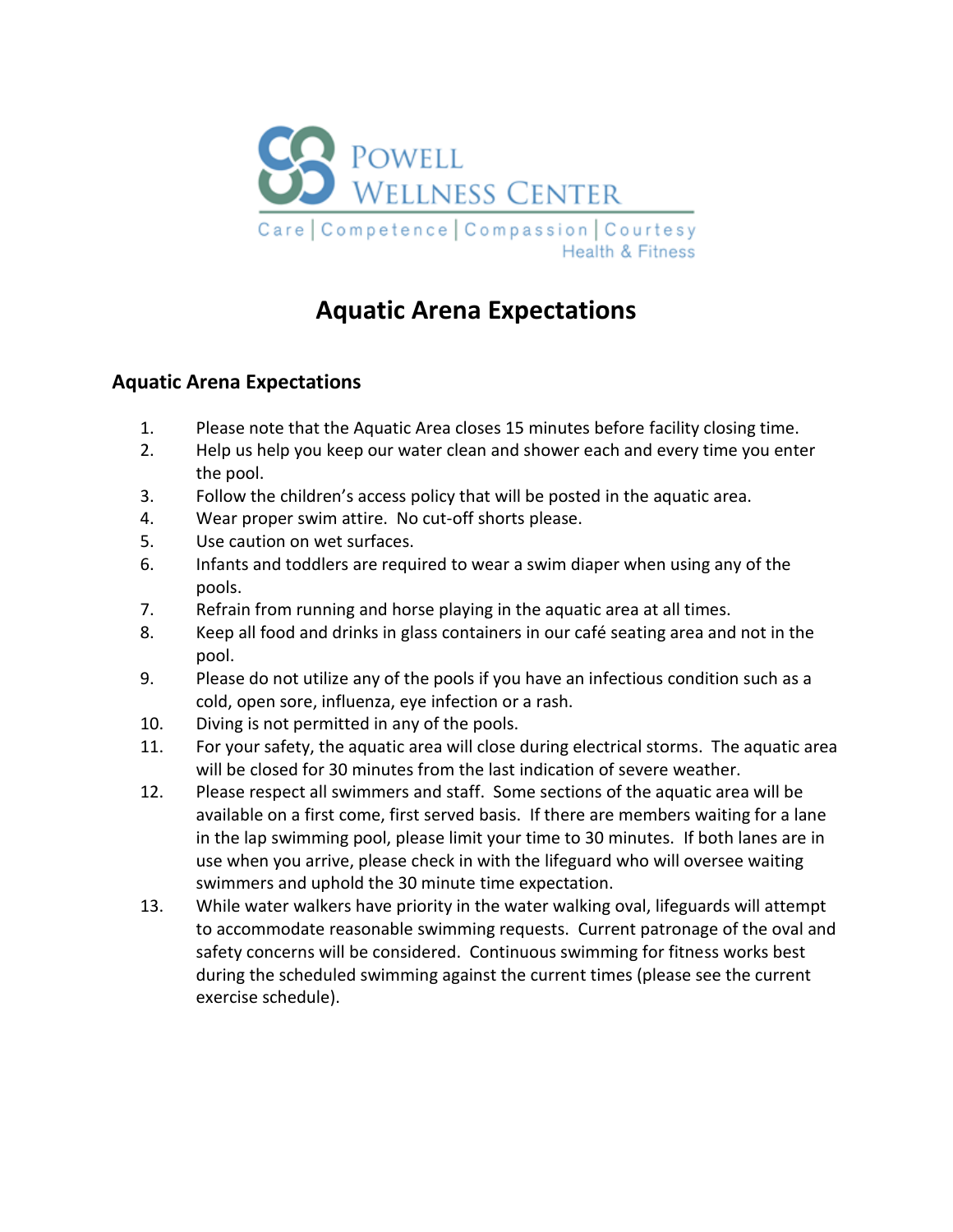

# **Aquatic Arena Expectations**

### **Aquatic Arena Expectations**

- 1. Please note that the Aquatic Area closes 15 minutes before facility closing time.
- 2. Help us help you keep our water clean and shower each and every time you enter the pool.
- 3. Follow the children's access policy that will be posted in the aquatic area.
- 4. Wear proper swim attire. No cut-off shorts please.
- 5. Use caution on wet surfaces.
- 6. Infants and toddlers are required to wear a swim diaper when using any of the pools.
- 7. Refrain from running and horse playing in the aquatic area at all times.
- 8. Keep all food and drinks in glass containers in our café seating area and not in the pool.
- 9. Please do not utilize any of the pools if you have an infectious condition such as a cold, open sore, influenza, eye infection or a rash.
- 10. Diving is not permitted in any of the pools.
- 11. For your safety, the aquatic area will close during electrical storms. The aquatic area will be closed for 30 minutes from the last indication of severe weather.
- 12. Please respect all swimmers and staff. Some sections of the aquatic area will be available on a first come, first served basis. If there are members waiting for a lane in the lap swimming pool, please limit your time to 30 minutes. If both lanes are in use when you arrive, please check in with the lifeguard who will oversee waiting swimmers and uphold the 30 minute time expectation.
- 13. While water walkers have priority in the water walking oval, lifeguards will attempt to accommodate reasonable swimming requests. Current patronage of the oval and safety concerns will be considered. Continuous swimming for fitness works best during the scheduled swimming against the current times (please see the current exercise schedule).